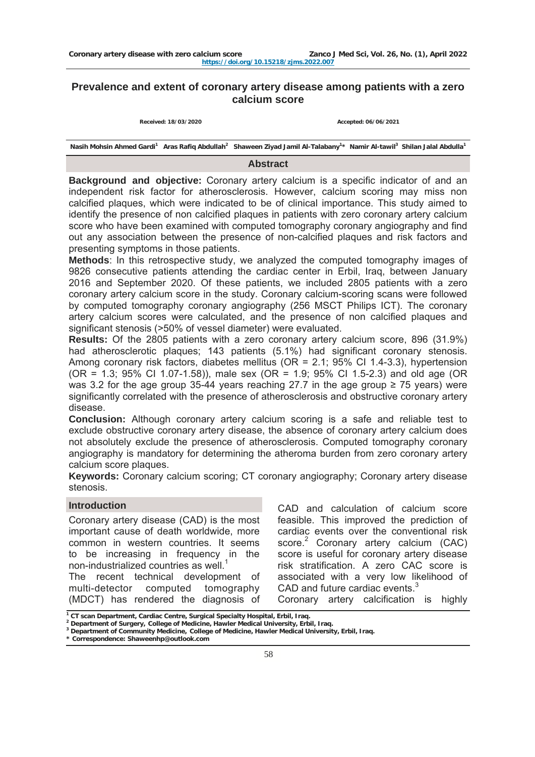# **Prevalence and extent of coronary artery disease among patients with a zero calcium score**

**Received: 18/03/2020 Accepted: 06/06/2021**

Nasih Mohsin Ahmed Gardi<sup>1</sup> Aras Rafiq Abdullah<sup>2</sup> Shaween Ziyad Jamil Al-Talabany<sup>1\*</sup> Namir Al-tawil<sup>3</sup> Shilan Jalal Abdulla<sup>1</sup>

#### **Abstract**

**Background and objective:** Coronary artery calcium is a specific indicator of and an independent risk factor for atherosclerosis. However, calcium scoring may miss non calcified plaques, which were indicated to be of clinical importance. This study aimed to identify the presence of non calcified plaques in patients with zero coronary artery calcium score who have been examined with computed tomography coronary angiography and find out any association between the presence of non-calcified plaques and risk factors and presenting symptoms in those patients.

**Methods**: In this retrospective study, we analyzed the computed tomography images of 9826 consecutive patients attending the cardiac center in Erbil, Iraq, between January 2016 and September 2020. Of these patients, we included 2805 patients with a zero coronary artery calcium score in the study. Coronary calcium-scoring scans were followed by computed tomography coronary angiography (256 MSCT Philips ICT). The coronary artery calcium scores were calculated, and the presence of non calcified plaques and significant stenosis (>50% of vessel diameter) were evaluated.

**Results:** Of the 2805 patients with a zero coronary artery calcium score, 896 (31.9%) had atherosclerotic plaques; 143 patients (5.1%) had significant coronary stenosis. Among coronary risk factors, diabetes mellitus (OR = 2.1; 95% CI 1.4-3.3), hypertension (OR = 1.3; 95% CI 1.07-1.58)), male sex (OR = 1.9; 95% CI 1.5-2.3) and old age (OR was 3.2 for the age group 35-44 years reaching 27.7 in the age group  $\geq$  75 years) were significantly correlated with the presence of atherosclerosis and obstructive coronary artery disease.

**Conclusion:** Although coronary artery calcium scoring is a safe and reliable test to exclude obstructive coronary artery disease, the absence of coronary artery calcium does not absolutely exclude the presence of atherosclerosis. Computed tomography coronary angiography is mandatory for determining the atheroma burden from zero coronary artery calcium score plaques.

**Keywords:** Coronary calcium scoring; CT coronary angiography; Coronary artery disease stenosis.

#### **Introduction**

Coronary artery disease (CAD) is the most important cause of death worldwide, more common in western countries. It seems to be increasing in frequency in the non-industrialized countries as well.<sup>1</sup>

The recent technical development of multi-detector computed tomography (MDCT) has rendered the diagnosis of

CAD and calculation of calcium score feasible. This improved the prediction of cardiac events over the conventional risk score.<sup>2</sup> Coronary artery calcium (CAC) score is useful for coronary artery disease risk stratification. A zero CAC score is associated with a very low likelihood of CAD and future cardiac events.<sup>3</sup>

Coronary artery calcification is highly

**<sup>1</sup>**<br> **1** CT scan Department, Cardiac Centre, Surgical Specialty Hospital, Erbil, Iraq.<br>
<sup>2</sup> Department of Surgery, College of Medicine, Hawler Medical University, Erbil

**<sup>2</sup> Department of Surgery, College of Medicine, Hawler Medical University, Erbil, Iraq.** 

**Department of Community Medicine, College of Medicine, Hawler Medical University, Erbil, Iraq.**

**<sup>\*</sup> Correspondence: [Shaweenhp@outlook.com](mailto:Shaweenhp@outlook.com)**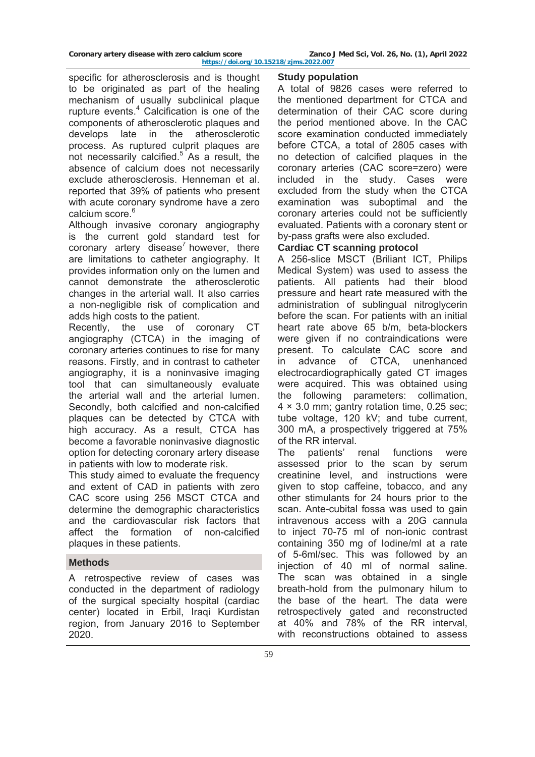specific for atherosclerosis and is thought to be originated as part of the healing mechanism of usually subclinical plaque rupture events.<sup>4</sup> Calcification is one of the components of atherosclerotic plaques and develops late in the atherosclerotic process. As ruptured culprit plaques are not necessarily calcified.<sup>5</sup> As a result, the absence of calcium does not necessarily exclude atherosclerosis. Henneman et al. reported that 39% of patients who present with acute coronary syndrome have a zero calcium score.<sup>6</sup>

Although invasive coronary angiography is the current gold standard test for coronary artery disease<sup>7</sup> however, there are limitations to catheter angiography. It provides information only on the lumen and cannot demonstrate the atherosclerotic changes in the arterial wall. It also carries a non-negligible risk of complication and adds high costs to the patient.

Recently, the use of coronary CT angiography (CTCA) in the imaging of coronary arteries continues to rise for many reasons. Firstly, and in contrast to catheter angiography, it is a noninvasive imaging tool that can simultaneously evaluate the arterial wall and the arterial lumen. Secondly, both calcified and non-calcified plaques can be detected by CTCA with high accuracy. As a result, CTCA has become a favorable noninvasive diagnostic option for detecting coronary artery disease in patients with low to moderate risk.

This study aimed to evaluate the frequency and extent of CAD in patients with zero CAC score using 256 MSCT CTCA and determine the demographic characteristics and the cardiovascular risk factors that affect the formation of non-calcified plaques in these patients.

## **Methods**

A retrospective review of cases was conducted in the department of radiology of the surgical specialty hospital (cardiac center) located in Erbil, Iraqi Kurdistan region, from January 2016 to September 2020.

### **Study population**

A total of 9826 cases were referred to the mentioned department for CTCA and determination of their CAC score during the period mentioned above. In the CAC score examination conducted immediately before CTCA, a total of 2805 cases with no detection of calcified plaques in the coronary arteries (CAC score=zero) were included in the study. Cases were excluded from the study when the CTCA examination was suboptimal and the coronary arteries could not be sufficiently evaluated. Patients with a coronary stent or by-pass grafts were also excluded.

# **Cardiac CT scanning protocol**

A 256-slice MSCT (Briliant ICT, Philips Medical System) was used to assess the patients. All patients had their blood pressure and heart rate measured with the administration of sublingual nitroglycerin before the scan. For patients with an initial heart rate above 65 b/m, beta-blockers were given if no contraindications were present. To calculate CAC score and in advance of CTCA, unenhanced electrocardiographically gated CT images were acquired. This was obtained using the following parameters: collimation, 4 × 3.0 mm; gantry rotation time, 0.25 sec; tube voltage, 120 kV; and tube current, 300 mA, a prospectively triggered at 75% of the RR interval.

The patients' renal functions were assessed prior to the scan by serum creatinine level, and instructions were given to stop caffeine, tobacco, and any other stimulants for 24 hours prior to the scan. Ante-cubital fossa was used to gain intravenous access with a 20G cannula to inject 70-75 ml of non-ionic contrast containing 350 mg of Iodine/ml at a rate of 5-6ml/sec. This was followed by an injection of 40 ml of normal saline. The scan was obtained in a single breath-hold from the pulmonary hilum to the base of the heart. The data were retrospectively gated and reconstructed at 40% and 78% of the RR interval, with reconstructions obtained to assess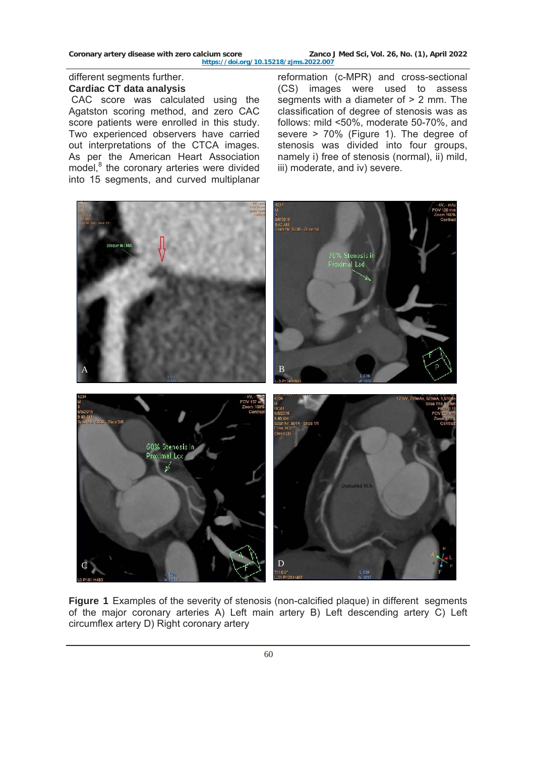Coronary artery disease with zero calcium score **Zanco J Med Sci, Vol. 26, No. (1), April 2022 <https://doi.org/10.15218/zjms.2022.007>**

# different segments further. **Cardiac CT data analysis**

 CAC score was calculated using the Agatston scoring method, and zero CAC score patients were enrolled in this study. Two experienced observers have carried out interpretations of the CTCA images. As per the American Heart Association model,<sup>8</sup> the coronary arteries were divided into 15 segments, and curved multiplanar

reformation (c-MPR) and cross-sectional (CS) images were used to assess segments with a diameter of  $> 2$  mm. The classification of degree of stenosis was as follows: mild <50%, moderate 50-70%, and severe > 70% (Figure 1). The degree of stenosis was divided into four groups, namely i) free of stenosis (normal), ii) mild, iii) moderate, and iv) severe.



**Figure 1** Examples of the severity of stenosis (non-calcified plaque) in different segments of the major coronary arteries A) Left main artery B) Left descending artery C) Left circumflex artery D) Right coronary artery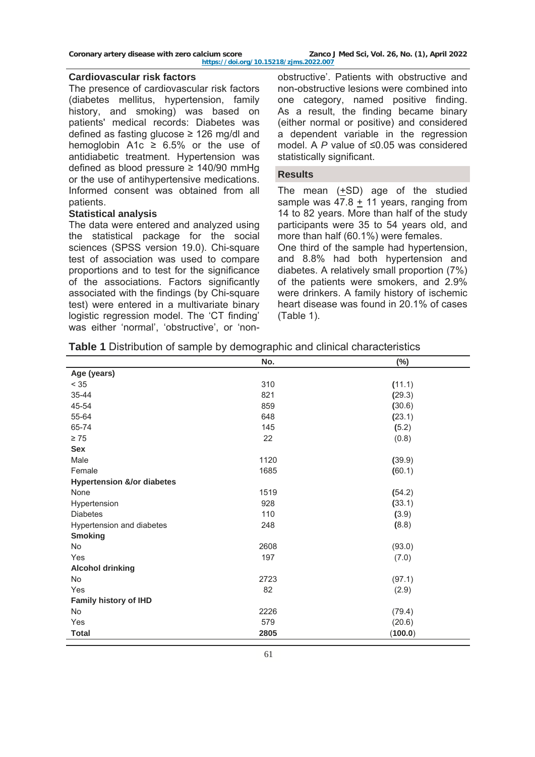Coronary artery disease with zero calcium score **Zanco J Med Sci, Vol. 26, No. (1), April 2022** 

**<https://doi.org/10.15218/zjms.2022.007>**

#### **Cardiovascular risk factors**

The presence of cardiovascular risk factors (diabetes mellitus, hypertension, family history, and smoking) was based on patients' medical records: Diabetes was defined as fasting glucose ≥ 126 mg/dl and hemoglobin A1c  $\geq$  6.5% or the use of antidiabetic treatment. Hypertension was defined as blood pressure ≥ 140/90 mmHg or the use of antihypertensive medications. Informed consent was obtained from all patients.

## **Statistical analysis**

The data were entered and analyzed using the statistical package for the social sciences (SPSS version 19.0). Chi-square test of association was used to compare proportions and to test for the significance of the associations. Factors significantly associated with the findings (by Chi-square test) were entered in a multivariate binary logistic regression model. The 'CT finding' was either 'normal', 'obstructive', or 'nonobstructive'. Patients with obstructive and non-obstructive lesions were combined into one category, named positive finding. As a result, the finding became binary (either normal or positive) and considered a dependent variable in the regression model. A *P* value of ≤0.05 was considered statistically significant.

## **Results**

The mean  $(+SD)$  age of the studied sample was  $47.8 + 11$  years, ranging from 14 to 82 years. More than half of the study participants were 35 to 54 years old, and more than half (60.1%) were females.

One third of the sample had hypertension, and 8.8% had both hypertension and diabetes. A relatively small proportion (7%) of the patients were smokers, and 2.9% were drinkers. A family history of ischemic heart disease was found in 20.1% of cases (Table 1).

|  |  |  |  | <b>Table 1</b> Distribution of sample by demographic and clinical characteristics |
|--|--|--|--|-----------------------------------------------------------------------------------|
|--|--|--|--|-----------------------------------------------------------------------------------|

|                                       | No.  | $(\%)$  |
|---------------------------------------|------|---------|
| Age (years)                           |      |         |
| $< 35$                                | 310  | (11.1)  |
| 35-44                                 | 821  | (29.3)  |
| 45-54                                 | 859  | (30.6)  |
| 55-64                                 | 648  | (23.1)  |
| 65-74                                 | 145  | (5.2)   |
| $\geq 75$                             | 22   | (0.8)   |
| <b>Sex</b>                            |      |         |
| Male                                  | 1120 | (39.9)  |
| Female                                | 1685 | (60.1)  |
| <b>Hypertension &amp;/or diabetes</b> |      |         |
| None                                  | 1519 | (54.2)  |
| Hypertension                          | 928  | (33.1)  |
| <b>Diabetes</b>                       | 110  | (3.9)   |
| Hypertension and diabetes             | 248  | (8.8)   |
| <b>Smoking</b>                        |      |         |
| <b>No</b>                             | 2608 | (93.0)  |
| Yes                                   | 197  | (7.0)   |
| <b>Alcohol drinking</b>               |      |         |
| No                                    | 2723 | (97.1)  |
| Yes                                   | 82   | (2.9)   |
| <b>Family history of IHD</b>          |      |         |
| <b>No</b>                             | 2226 | (79.4)  |
| Yes                                   | 579  | (20.6)  |
| <b>Total</b>                          | 2805 | (100.0) |
|                                       |      |         |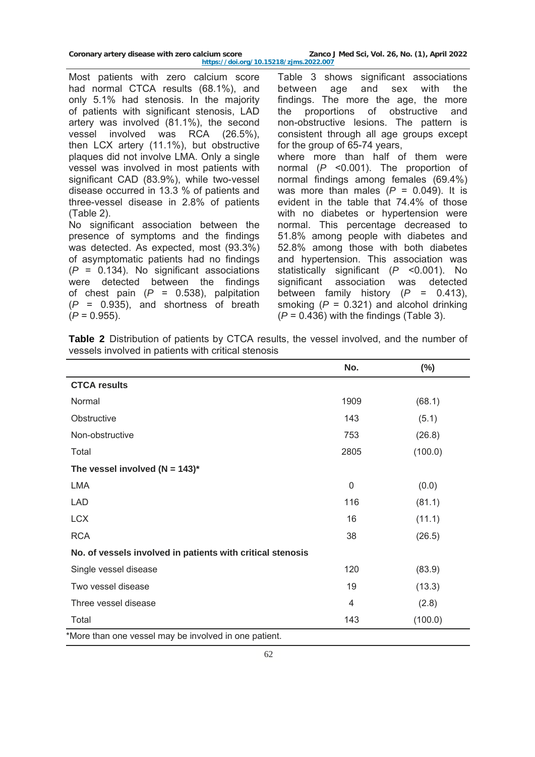| Coronary artery disease with zero calcium score | Zanco J Med Sci, Vol. 26, No. (1), April 2022 |
|-------------------------------------------------|-----------------------------------------------|
| https://doi.org/10.15218/zims.2022.007          |                                               |

Most patients with zero calcium score had normal CTCA results (68.1%), and only 5.1% had stenosis. In the majority of patients with significant stenosis, LAD artery was involved (81.1%), the second vessel involved was RCA (26.5%), then LCX artery (11.1%), but obstructive plaques did not involve LMA. Only a single vessel was involved in most patients with significant CAD (83.9%), while two-vessel disease occurred in 13.3 % of patients and three-vessel disease in 2.8% of patients (Table 2).

No significant association between the presence of symptoms and the findings was detected. As expected, most (93.3%) of asymptomatic patients had no findings (*P* = 0.134). No significant associations were detected between the findings of chest pain (*P* = 0.538), palpitation (*P* = 0.935), and shortness of breath  $(P = 0.955)$ .

Table 3 shows significant associations between age and sex with the findings. The more the age, the more the proportions of obstructive and non-obstructive lesions. The pattern is consistent through all age groups except for the group of 65-74 years, where more than half of them were normal (*P* <0.001). The proportion of normal findings among females (69.4%) was more than males  $(P = 0.049)$ . It is evident in the table that 74.4% of those with no diabetes or hypertension were normal. This percentage decreased to 51.8% among people with diabetes and 52.8% among those with both diabetes and hypertension. This association was statistically significant (*P* <0.001). No significant association was detected between family history  $(P = 0.413)$ , smoking (*P* = 0.321) and alcohol drinking (*P* = 0.436) with the findings (Table 3).

**Table 2** Distribution of patients by CTCA results, the vessel involved, and the number of vessels involved in patients with critical stenosis

| No.         | $(\%)$  |
|-------------|---------|
|             |         |
| 1909        | (68.1)  |
| 143         | (5.1)   |
| 753         | (26.8)  |
| 2805        | (100.0) |
|             |         |
| $\mathbf 0$ | (0.0)   |
| 116         | (81.1)  |
| 16          | (11.1)  |
| 38          | (26.5)  |
|             |         |
| 120         | (83.9)  |
| 19          | (13.3)  |
| 4           | (2.8)   |
| 143         | (100.0) |
|             |         |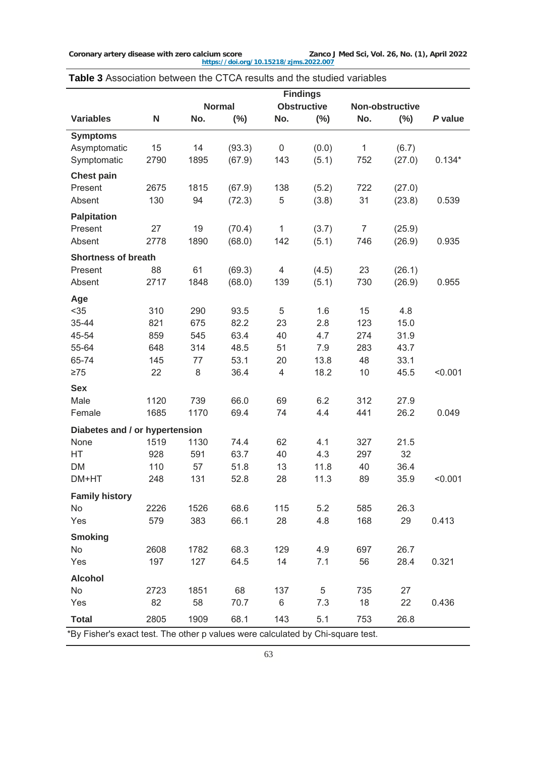|                                |             |               |        |                | <b>Findings</b>    |                |                 |          |
|--------------------------------|-------------|---------------|--------|----------------|--------------------|----------------|-----------------|----------|
|                                |             | <b>Normal</b> |        |                | <b>Obstructive</b> |                | Non-obstructive |          |
| <b>Variables</b>               | $\mathbf N$ | No.           | $(\%)$ | No.            | $(\%)$             | No.            | $(\%)$          | P value  |
| <b>Symptoms</b>                |             |               |        |                |                    |                |                 |          |
| Asymptomatic                   | 15          | 14            | (93.3) | $\mathsf 0$    | (0.0)              | $\mathbf{1}$   | (6.7)           |          |
| Symptomatic                    | 2790        | 1895          | (67.9) | 143            | (5.1)              | 752            | (27.0)          | $0.134*$ |
| <b>Chest pain</b>              |             |               |        |                |                    |                |                 |          |
| Present                        | 2675        | 1815          | (67.9) | 138            | (5.2)              | 722            | (27.0)          |          |
| Absent                         | 130         | 94            | (72.3) | $\mathbf 5$    | (3.8)              | 31             | (23.8)          | 0.539    |
| <b>Palpitation</b>             |             |               |        |                |                    |                |                 |          |
| Present                        | 27          | 19            | (70.4) | 1              | (3.7)              | $\overline{7}$ | (25.9)          |          |
| Absent                         | 2778        | 1890          | (68.0) | 142            | (5.1)              | 746            | (26.9)          | 0.935    |
| <b>Shortness of breath</b>     |             |               |        |                |                    |                |                 |          |
| Present                        | 88          | 61            | (69.3) | 4              | (4.5)              | 23             | (26.1)          |          |
| Absent                         | 2717        | 1848          | (68.0) | 139            | (5.1)              | 730            | (26.9)          | 0.955    |
| Age                            |             |               |        |                |                    |                |                 |          |
| $35$                           | 310         | 290           | 93.5   | 5              | 1.6                | 15             | 4.8             |          |
| 35-44                          | 821         | 675           | 82.2   | 23             | 2.8                | 123            | 15.0            |          |
| 45-54                          | 859         | 545           | 63.4   | 40             | 4.7                | 274            | 31.9            |          |
| 55-64                          | 648         | 314           | 48.5   | 51             | 7.9                | 283            | 43.7            |          |
| 65-74                          | 145         | 77            | 53.1   | 20             | 13.8               | 48             | 33.1            |          |
| $\geq 75$                      | 22          | 8             | 36.4   | $\overline{4}$ | 18.2               | 10             | 45.5            | < 0.001  |
| <b>Sex</b>                     |             |               |        |                |                    |                |                 |          |
| Male                           | 1120        | 739           | 66.0   | 69             | 6.2                | 312            | 27.9            |          |
| Female                         | 1685        | 1170          | 69.4   | 74             | 4.4                | 441            | 26.2            | 0.049    |
| Diabetes and / or hypertension |             |               |        |                |                    |                |                 |          |
| None                           | 1519        | 1130          | 74.4   | 62             | 4.1                | 327            | 21.5            |          |
| HT                             | 928         | 591           | 63.7   | 40             | 4.3                | 297            | 32              |          |
| <b>DM</b>                      | 110         | 57            | 51.8   | 13             | 11.8               | 40             | 36.4            |          |
| DM+HT                          | 248         | 131           | 52.8   | 28             | 11.3               | 89             | 35.9            | < 0.001  |
| <b>Family history</b>          |             |               |        |                |                    |                |                 |          |
| No                             | 2226        | 1526          | 68.6   | 115            | 5.2                | 585            | 26.3            |          |
| Yes                            | 579         | 383           | 66.1   | 28             | 4.8                | 168            | 29              | 0.413    |
| <b>Smoking</b>                 |             |               |        |                |                    |                |                 |          |
| No                             | 2608        | 1782          | 68.3   | 129            | 4.9                | 697            | 26.7            |          |
| Yes                            | 197         | 127           | 64.5   | 14             | 7.1                | 56             | 28.4            | 0.321    |
| <b>Alcohol</b>                 |             |               |        |                |                    |                |                 |          |
| No                             | 2723        | 1851          | 68     | 137            | 5                  | 735            | 27              |          |
| Yes                            | 82          | 58            | 70.7   | 6              | 7.3                | 18             | 22              | 0.436    |
| <b>Total</b>                   | 2805        | 1909          | 68.1   | 143            | 5.1                | 753            | 26.8            |          |

# **Table 3** Association between the CTCA results and the studied variables

\*By Fisher's exact test. The other p values were calculated by Chi-square test.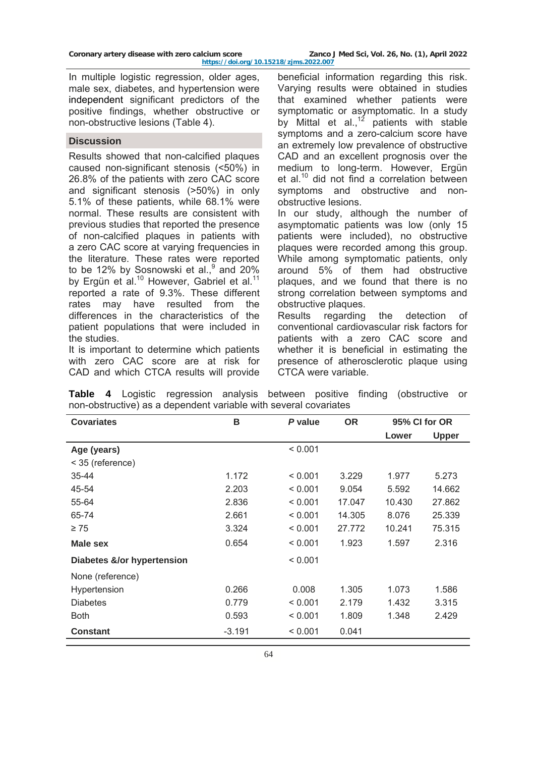**<https://doi.org/10.15218/zjms.2022.007>**

In multiple logistic regression, older ages, male sex, diabetes, and hypertension were independent significant predictors of the positive findings, whether obstructive or non-obstructive lesions (Table 4).

## **Discussion**

Results showed that non-calcified plaques caused non-significant stenosis (<50%) in 26.8% of the patients with zero CAC score and significant stenosis (>50%) in only 5.1% of these patients, while 68.1% were normal. These results are consistent with previous studies that reported the presence of non-calcified plaques in patients with a zero CAC score at varying frequencies in the literature. These rates were reported to be 12% by Sosnowski et al., $9$  and 20% by Ergün et al.<sup>10</sup> However, [Gabriel](https://www.ncbi.nlm.nih.gov/pubmed/?term=Gabriel%20FS%5BAuthor%5D&cauthor=true&cauthor_uid=29723329) et al.<sup>11</sup> reported a rate of 9.3%. These different rates may have resulted from the differences in the characteristics of the patient populations that were included in the studies.

It is important to determine which patients with zero CAC score are at risk for CAD and which CTCA results will provide

beneficial information regarding this risk. Varying results were obtained in studies that examined whether patients were symptomatic or asymptomatic. In a study by Mittal et al.,<sup>12</sup> patients with stable symptoms and a zero-calcium score have an extremely low prevalence of obstructive CAD and an excellent prognosis over the medium to long-term. However, Ergün et al. $10$  did not find a correlation between symptoms and obstructive and nonobstructive lesions.

In our study, although the number of asymptomatic patients was low (only 15 patients were included), no obstructive plaques were recorded among this group. While among symptomatic patients, only around 5% of them had obstructive plaques, and we found that there is no strong correlation between symptoms and obstructive plaques.

Results regarding the detection of conventional cardiovascular risk factors for patients with a zero CAC score and whether it is beneficial in estimating the presence of atherosclerotic plaque using CTCA were variable.

|  |                                                                  |  |  | Table 4 Logistic regression analysis between positive finding (obstructive or |  |
|--|------------------------------------------------------------------|--|--|-------------------------------------------------------------------------------|--|
|  | non-obstructive) as a dependent variable with several covariates |  |  |                                                                               |  |

| <b>Covariates</b>          | в        | P value | <b>OR</b> |        | 95% CI for OR |
|----------------------------|----------|---------|-----------|--------|---------------|
|                            |          |         |           | Lower  | <b>Upper</b>  |
| Age (years)                |          | < 0.001 |           |        |               |
| < 35 (reference)           |          |         |           |        |               |
| $35 - 44$                  | 1.172    | < 0.001 | 3.229     | 1.977  | 5.273         |
| 45-54                      | 2.203    | < 0.001 | 9.054     | 5.592  | 14.662        |
| 55-64                      | 2.836    | < 0.001 | 17.047    | 10.430 | 27.862        |
| 65-74                      | 2.661    | < 0.001 | 14.305    | 8.076  | 25.339        |
| $\geq 75$                  | 3.324    | < 0.001 | 27.772    | 10.241 | 75.315        |
| Male sex                   | 0.654    | < 0.001 | 1.923     | 1.597  | 2.316         |
| Diabetes &/or hypertension |          | < 0.001 |           |        |               |
| None (reference)           |          |         |           |        |               |
| Hypertension               | 0.266    | 0.008   | 1.305     | 1.073  | 1.586         |
| <b>Diabetes</b>            | 0.779    | < 0.001 | 2.179     | 1.432  | 3.315         |
| <b>Both</b>                | 0.593    | < 0.001 | 1.809     | 1.348  | 2.429         |
| <b>Constant</b>            | $-3.191$ | < 0.001 | 0.041     |        |               |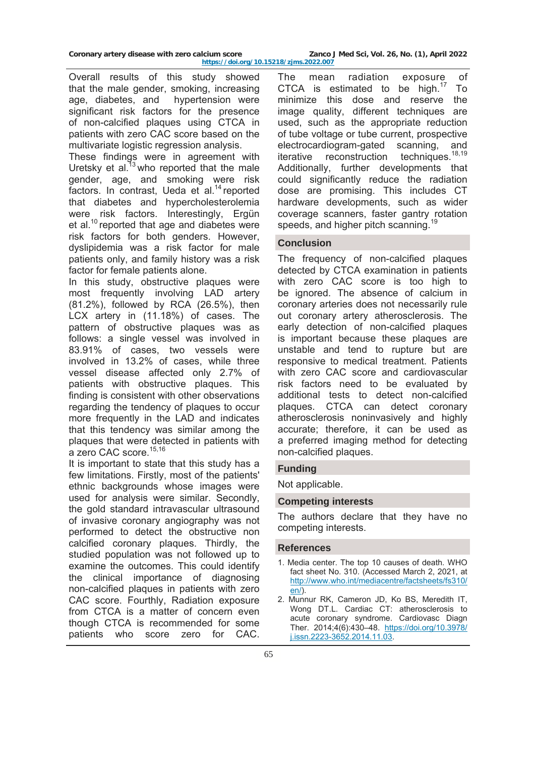Overall results of this study showed that the male gender, smoking, increasing age, diabetes, and hypertension were significant risk factors for the presence of non-calcified plaques using CTCA in patients with zero CAC score based on the multivariate logistic regression analysis.

These findings were in agreement with Uretsky et al. $^{13}$  who reported that the male gender, age, and smoking were risk factors. In contrast, Ueda et al.<sup>14</sup> reported that diabetes and hypercholesterolemia were risk factors. Interestingly, Ergün et al.<sup>10</sup> reported that age and diabetes were risk factors for both genders. However, dyslipidemia was a risk factor for male patients only, and family history was a risk factor for female patients alone.

In this study, obstructive plaques were most frequently involving LAD artery (81.2%), followed by RCA (26.5%), then LCX artery in (11.18%) of cases. The pattern of obstructive plaques was as follows: a single vessel was involved in 83.91% of cases, two vessels were involved in 13.2% of cases, while three vessel disease affected only 2.7% of patients with obstructive plaques. This finding is consistent with other observations regarding the tendency of plaques to occur more frequently in the LAD and indicates that this tendency was similar among the plaques that were detected in patients with a zero CAC score.<sup>15,16</sup>

It is important to state that this study has a few limitations. Firstly, most of the patients' ethnic backgrounds whose images were used for analysis were similar. Secondly, the gold standard intravascular ultrasound of invasive coronary angiography was not performed to detect the obstructive non calcified coronary plaques. Thirdly, the studied population was not followed up to examine the outcomes. This could identify the clinical importance of diagnosing non-calcified plaques in patients with zero CAC score. Fourthly, Radiation exposure from CTCA is a matter of concern even though CTCA is recommended for some patients who score zero for CAC.

The mean radiation exposure of CTCA is estimated to be high. $17$  To minimize this dose and reserve the image quality, different techniques are used, such as the appropriate reduction of tube voltage or tube current, prospective electrocardiogram-gated scanning, and iterative reconstruction techniques.<sup>18,19</sup> Additionally, further developments that could significantly reduce the radiation dose are promising. This includes CT hardware developments, such as wider coverage scanners, faster gantry rotation speeds, and higher pitch scanning.<sup>19</sup>

# **Conclusion**

The frequency of non-calcified plaques detected by CTCA examination in patients with zero CAC score is too high to be ignored. The absence of calcium in coronary arteries does not necessarily rule out coronary artery atherosclerosis. The early detection of non-calcified plaques is important because these plaques are unstable and tend to rupture but are responsive to medical treatment. Patients with zero CAC score and cardiovascular risk factors need to be evaluated by additional tests to detect non-calcified plaques. CTCA can detect coronary atherosclerosis noninvasively and highly accurate; therefore, it can be used as a preferred imaging method for detecting non-calcified plaques.

## **Funding**

Not applicable.

### **Competing interests**

The authors declare that they have no competing interests.

### **References**

- 1. Media center. The top 10 causes of death. WHO fact sheet No. 310. (Accessed March 2, 2021, at [http://www.who.int/mediacentre/factsheets/fs310](http://www.who.int/mediacentre/factsheets/fs310/en/)/ [en/](http://www.who.int/mediacentre/factsheets/fs310/en/)).
- 2. Munnur RK, Cameron JD, Ko BS, Meredith IT, Wong DT.L. Cardiac CT: atherosclerosis to acute coronary syndrome. Cardiovasc Diagn Ther. 2014;4(6):430–48. [https://doi.org/10.3978](https://doi.org/10.3978/j.issn.2223-3652.2014.11.03)/ [j.issn.2223-3652.2014.11.03.](https://doi.org/10.3978/j.issn.2223-3652.2014.11.03)